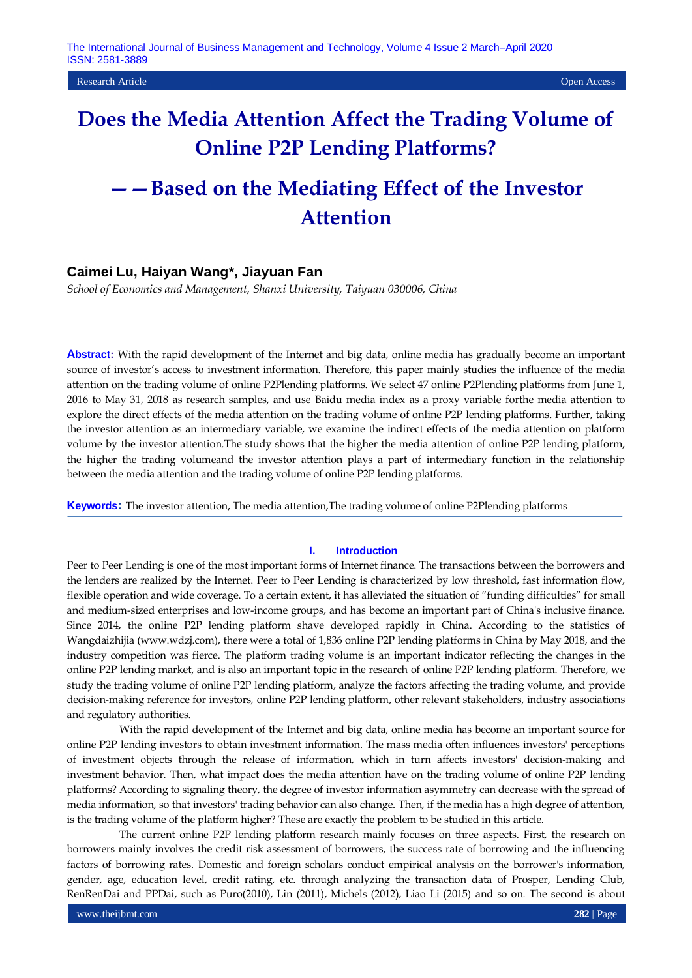Research Article Open Access

# **Does the Media Attention Affect the Trading Volume of Online P2P Lending Platforms?**

# **——Based on the Mediating Effect of the Investor Attention**

# **Caimei Lu, Haiyan Wang\*, Jiayuan Fan**

*School of Economics and Management, Shanxi University, Taiyuan 030006, China*

**Abstract:** With the rapid development of the Internet and big data, online media has gradually become an important source of investor's access to investment information. Therefore, this paper mainly studies the influence of the media attention on the trading volume of online P2Plending platforms. We select 47 online P2Plending platforms from June 1, 2016 to May 31, 2018 as research samples, and use Baidu media index as a proxy variable forthe media attention to explore the direct effects of the media attention on the trading volume of online P2P lending platforms. Further, taking the investor attention as an intermediary variable, we examine the indirect effects of the media attention on platform volume by the investor attention.The study shows that the higher the media attention of online P2P lending platform, the higher the trading volumeand the investor attention plays a part of intermediary function in the relationship between the media attention and the trading volume of online P2P lending platforms.

**Keywords:** The investor attention, The media attention,The trading volume of online P2Plending platforms

### **I. Introduction**

Peer to Peer Lending is one of the most important forms of Internet finance. The transactions between the borrowers and the lenders are realized by the Internet. Peer to Peer Lending is characterized by low threshold, fast information flow, flexible operation and wide coverage. To a certain extent, it has alleviated the situation of "funding difficulties" for small and medium-sized enterprises and low-income groups, and has become an important part of China's inclusive finance. Since 2014, the online P2P lending platform shave developed rapidly in China. According to the statistics of Wangdaizhijia (www.wdzj.com), there were a total of 1,836 online P2P lending platforms in China by May 2018, and the industry competition was fierce. The platform trading volume is an important indicator reflecting the changes in the online P2P lending market, and is also an important topic in the research of online P2P lending platform. Therefore, we study the trading volume of online P2P lending platform, analyze the factors affecting the trading volume, and provide decision-making reference for investors, online P2P lending platform, other relevant stakeholders, industry associations and regulatory authorities.

With the rapid development of the Internet and big data, online media has become an important source for online P2P lending investors to obtain investment information. The mass media often influences investors' perceptions of investment objects through the release of information, which in turn affects investors' decision-making and investment behavior. Then, what impact does the media attention have on the trading volume of online P2P lending platforms? According to signaling theory, the degree of investor information asymmetry can decrease with the spread of media information, so that investors' trading behavior can also change. Then, if the media has a high degree of attention, is the trading volume of the platform higher? These are exactly the problem to be studied in this article.

The current online P2P lending platform research mainly focuses on three aspects. First, the research on borrowers mainly involves the credit risk assessment of borrowers, the success rate of borrowing and the influencing factors of borrowing rates. Domestic and foreign scholars conduct empirical analysis on the borrower's information, gender, age, education level, credit rating, etc. through analyzing the transaction data of Prosper, Lending Club, RenRenDai and PPDai, such as Puro(2010), Lin (2011), Michels (2012), Liao Li (2015) and so on. The second is about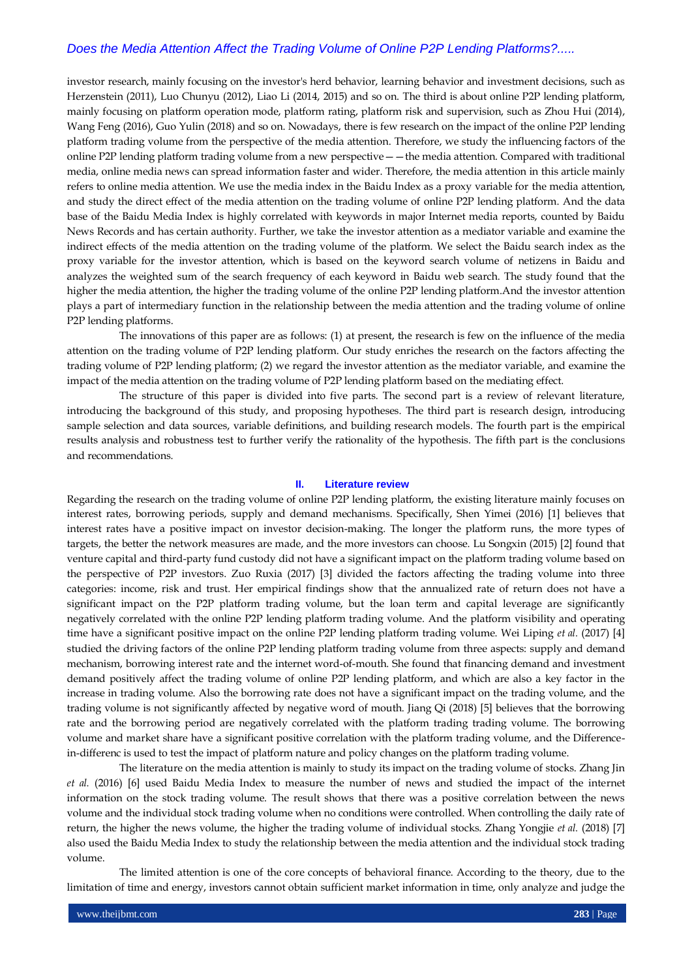investor research, mainly focusing on the investor's herd behavior, learning behavior and investment decisions, such as Herzenstein (2011), Luo Chunyu (2012), Liao Li (2014, 2015) and so on. The third is about online P2P lending platform, mainly focusing on platform operation mode, platform rating, platform risk and supervision, such as Zhou Hui (2014), Wang Feng (2016), Guo Yulin (2018) and so on. Nowadays, there is few research on the impact of the online P2P lending platform trading volume from the perspective of the media attention. Therefore, we study the influencing factors of the online P2P lending platform trading volume from a new perspective——the media attention. Compared with traditional media, online media news can spread information faster and wider. Therefore, the media attention in this article mainly refers to online media attention. We use the media index in the Baidu Index as a proxy variable for the media attention, and study the direct effect of the media attention on the trading volume of online P2P lending platform. And the data base of the Baidu Media Index is highly correlated with keywords in major Internet media reports, counted by Baidu News Records and has certain authority. Further, we take the investor attention as a mediator variable and examine the indirect effects of the media attention on the trading volume of the platform. We select the Baidu search index as the proxy variable for the investor attention, which is based on the keyword search volume of netizens in Baidu and analyzes the weighted sum of the search frequency of each keyword in Baidu web search. The study found that the higher the media attention, the higher the trading volume of the online P2P lending platform.And the investor attention plays a part of intermediary function in the relationship between the media attention and the trading volume of online P2P lending platforms.

The innovations of this paper are as follows: (1) at present, the research is few on the influence of the media attention on the trading volume of P2P lending platform. Our study enriches the research on the factors affecting the trading volume of P2P lending platform; (2) we regard the investor attention as the mediator variable, and examine the impact of the media attention on the trading volume of P2P lending platform based on the mediating effect.

The structure of this paper is divided into five parts. The second part is a review of relevant literature, introducing the background of this study, and proposing hypotheses. The third part is research design, introducing sample selection and data sources, variable definitions, and building research models. The fourth part is the empirical results analysis and robustness test to further verify the rationality of the hypothesis. The fifth part is the conclusions and recommendations.

#### **II. Literature review**

Regarding the research on the trading volume of online P2P lending platform, the existing literature mainly focuses on interest rates, borrowing periods, supply and demand mechanisms. Specifically, Shen Yimei (2016) [1] believes that interest rates have a positive impact on investor decision-making. The longer the platform runs, the more types of targets, the better the network measures are made, and the more investors can choose. Lu Songxin (2015) [2] found that venture capital and third-party fund custody did not have a significant impact on the platform trading volume based on the perspective of P2P investors. Zuo Ruxia (2017) [3] divided the factors affecting the trading volume into three categories: income, risk and trust. Her empirical findings show that the annualized rate of return does not have a significant impact on the P2P platform trading volume, but the loan term and capital leverage are significantly negatively correlated with the online P2P lending platform trading volume. And the platform visibility and operating time have a significant positive impact on the online P2P lending platform trading volume. Wei Liping *et al.* (2017) [4] studied the driving factors of the online P2P lending platform trading volume from three aspects: supply and demand mechanism, borrowing interest rate and the internet word-of-mouth. She found that financing demand and investment demand positively affect the trading volume of online P2P lending platform, and which are also a key factor in the increase in trading volume. Also the borrowing rate does not have a significant impact on the trading volume, and the trading volume is not significantly affected by negative word of mouth. Jiang Qi (2018) [5] believes that the borrowing rate and the borrowing period are negatively correlated with the platform trading trading volume. The borrowing volume and market share have a significant positive correlation with the platform trading volume, and the Differencein-differenc is used to test the impact of platform nature and policy changes on the platform trading volume.

The literature on the media attention is mainly to study its impact on the trading volume of stocks. Zhang Jin *et al.* (2016) [6] used Baidu Media Index to measure the number of news and studied the impact of the internet information on the stock trading volume. The result shows that there was a positive correlation between the news volume and the individual stock trading volume when no conditions were controlled. When controlling the daily rate of return, the higher the news volume, the higher the trading volume of individual stocks. Zhang Yongjie *et al.* (2018) [7] also used the Baidu Media Index to study the relationship between the media attention and the individual stock trading volume.

The limited attention is one of the core concepts of behavioral finance. According to the theory, due to the limitation of time and energy, investors cannot obtain sufficient market information in time, only analyze and judge the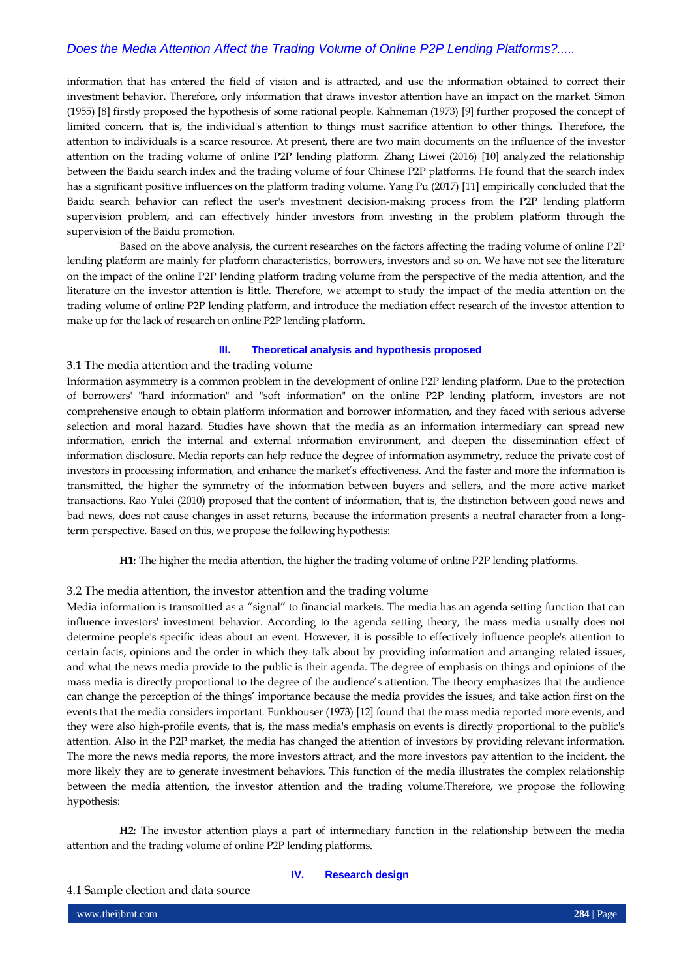information that has entered the field of vision and is attracted, and use the information obtained to correct their investment behavior. Therefore, only information that draws investor attention have an impact on the market. Simon (1955) [8] firstly proposed the hypothesis of some rational people. Kahneman (1973) [9] further proposed the concept of limited concern, that is, the individual's attention to things must sacrifice attention to other things. Therefore, the attention to individuals is a scarce resource. At present, there are two main documents on the influence of the investor attention on the trading volume of online P2P lending platform. Zhang Liwei (2016) [10] analyzed the relationship between the Baidu search index and the trading volume of four Chinese P2P platforms. He found that the search index has a significant positive influences on the platform trading volume. Yang Pu (2017) [11] empirically concluded that the Baidu search behavior can reflect the user's investment decision-making process from the P2P lending platform supervision problem, and can effectively hinder investors from investing in the problem platform through the supervision of the Baidu promotion.

Based on the above analysis, the current researches on the factors affecting the trading volume of online P2P lending platform are mainly for platform characteristics, borrowers, investors and so on. We have not see the literature on the impact of the online P2P lending platform trading volume from the perspective of the media attention, and the literature on the investor attention is little. Therefore, we attempt to study the impact of the media attention on the trading volume of online P2P lending platform, and introduce the mediation effect research of the investor attention to make up for the lack of research on online P2P lending platform.

## **III. Theoretical analysis and hypothesis proposed**

## 3.1 The media attention and the trading volume

Information asymmetry is a common problem in the development of online P2P lending platform. Due to the protection of borrowers' "hard information" and "soft information" on the online P2P lending platform, investors are not comprehensive enough to obtain platform information and borrower information, and they faced with serious adverse selection and moral hazard. Studies have shown that the media as an information intermediary can spread new information, enrich the internal and external information environment, and deepen the dissemination effect of information disclosure. Media reports can help reduce the degree of information asymmetry, reduce the private cost of investors in processing information, and enhance the market's effectiveness. And the faster and more the information is transmitted, the higher the symmetry of the information between buyers and sellers, and the more active market transactions. Rao Yulei (2010) proposed that the content of information, that is, the distinction between good news and bad news, does not cause changes in asset returns, because the information presents a neutral character from a longterm perspective. Based on this, we propose the following hypothesis:

**H1:** The higher the media attention, the higher the trading volume of online P2P lending platforms.

## 3.2 The media attention, the investor attention and the trading volume

Media information is transmitted as a "signal" to financial markets. The media has an agenda setting function that can influence investors' investment behavior. According to the agenda setting theory, the mass media usually does not determine people's specific ideas about an event. However, it is possible to effectively influence people's attention to certain facts, opinions and the order in which they talk about by providing information and arranging related issues, and what the news media provide to the public is their agenda. The degree of emphasis on things and opinions of the mass media is directly proportional to the degree of the audience's attention. The theory emphasizes that the audience can change the perception of the things' importance because the media provides the issues, and take action first on the events that the media considers important. Funkhouser (1973) [12] found that the mass media reported more events, and they were also high-profile events, that is, the mass media's emphasis on events is directly proportional to the public's attention. Also in the P2P market, the media has changed the attention of investors by providing relevant information. The more the news media reports, the more investors attract, and the more investors pay attention to the incident, the more likely they are to generate investment behaviors. This function of the media illustrates the complex relationship between the media attention, the investor attention and the trading volume.Therefore, we propose the following hypothesis:

**H2:** The investor attention plays a part of intermediary function in the relationship between the media attention and the trading volume of online P2P lending platforms.

## **IV. Research design**

### 4.1 Sample election and data source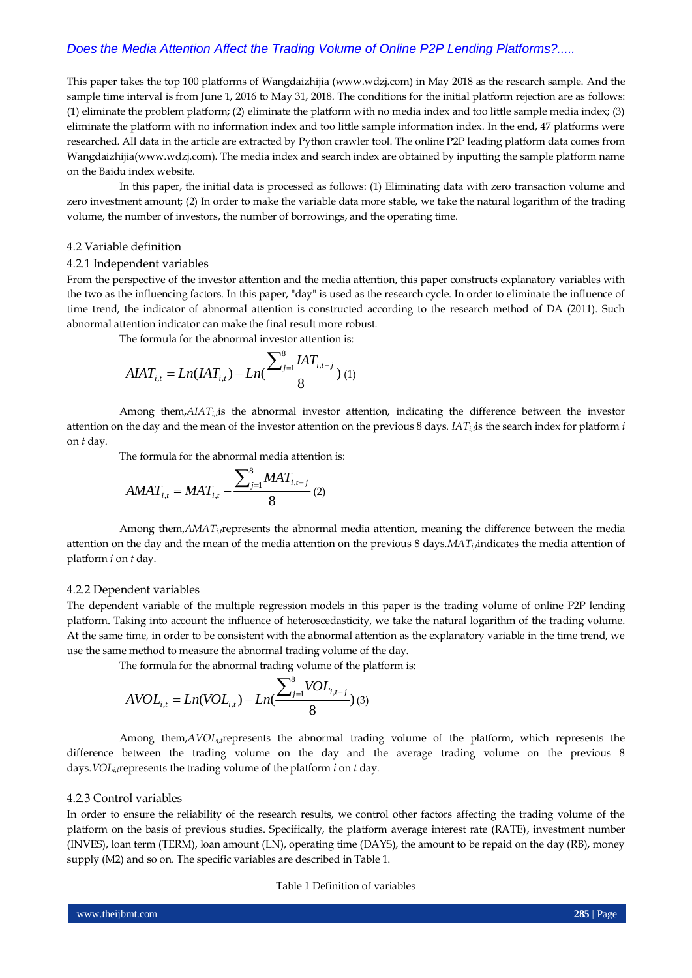This paper takes the top 100 platforms of Wangdaizhijia (www.wdzj.com) in May 2018 as the research sample. And the sample time interval is from June 1, 2016 to May 31, 2018. The conditions for the initial platform rejection are as follows: (1) eliminate the problem platform; (2) eliminate the platform with no media index and too little sample media index; (3) eliminate the platform with no information index and too little sample information index. In the end, 47 platforms were researched. All data in the article are extracted by Python crawler tool. The online P2P leading platform data comes from Wangdaizhijia(www.wdzj.com). The media index and search index are obtained by inputting the sample platform name on the Baidu index website.

In this paper, the initial data is processed as follows: (1) Eliminating data with zero transaction volume and zero investment amount; (2) In order to make the variable data more stable, we take the natural logarithm of the trading volume, the number of investors, the number of borrowings, and the operating time.

## 4.2 Variable definition

## 4.2.1 Independent variables

From the perspective of the investor attention and the media attention, this paper constructs explanatory variables with the two as the influencing factors. In this paper, "day" is used as the research cycle. In order to eliminate the influence of time trend, the indicator of abnormal attention is constructed according to the research method of DA (2011). Such abnormal attention indicator can make the final result more robust.

The formula for the abnormal investor attention is:

$$
A I A T_{i,t} = Ln( I A T_{i,t}) - Ln(\frac{\sum_{j=1}^{8} I A T_{i,t-j}}{8})
$$
 (1)

Among them,*AIAT<sub>i,t</sub>*is the abnormal investor attention, indicating the difference between the investor attention on the day and the mean of the investor attention on the previous 8 days. *IATi,t*is the search index for platform *i* on *t* day.

The formula for the abnormal media attention is:

$$
AMAT_{i,t} = MAT_{i,t} - \frac{\sum_{j=1}^{8}MAT_{i,t-j}}{8} (2)
$$

Among them,*AMATi,t*represents the abnormal media attention, meaning the difference between the media attention on the day and the mean of the media attention on the previous 8 days.*MATi,t*indicates the media attention of platform *i* on *t* day.

### 4.2.2 Dependent variables

The dependent variable of the multiple regression models in this paper is the trading volume of online P2P lending platform. Taking into account the influence of heteroscedasticity, we take the natural logarithm of the trading volume. At the same time, in order to be consistent with the abnormal attention as the explanatory variable in the time trend, we use the same method to measure the abnormal trading volume of the day.

The formula for the abnormal trading volume of the platform is:

$$
AVOL_{i,t} = Ln(VOL_{i,t}) - Ln(\frac{\sum_{j=1}^{8} VOL_{i,t-j}}{8})
$$
 (3)

Among them,*AVOLi,t*represents the abnormal trading volume of the platform, which represents the difference between the trading volume on the day and the average trading volume on the previous 8 days.*VOLi,t*represents the trading volume of the platform *i* on *t* day.

## 4.2.3 Control variables

In order to ensure the reliability of the research results, we control other factors affecting the trading volume of the platform on the basis of previous studies. Specifically, the platform average interest rate (RATE), investment number (INVES), loan term (TERM), loan amount (LN), operating time (DAYS), the amount to be repaid on the day (RB), money supply (M2) and so on. The specific variables are described in Table 1.

## Table 1 Definition of variables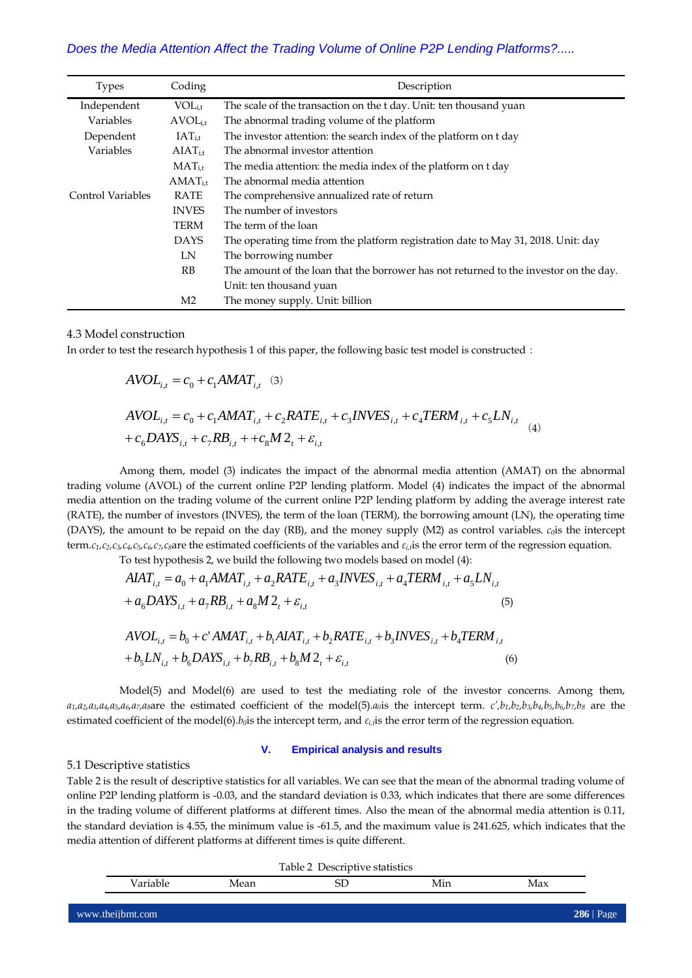| <b>Types</b>      | Coding         | Description                                                                           |
|-------------------|----------------|---------------------------------------------------------------------------------------|
| Independent       | $VOL_{i.t}$    | The scale of the transaction on the t day. Unit: ten thousand yuan                    |
| Variables         | $AVOL_{i.t}$   | The abnormal trading volume of the platform                                           |
| Dependent         | $IAT_{i,t}$    | The investor attention: the search index of the platform on t day                     |
| Variables         | $AIAT_{i.t}$   | The abnormal investor attention                                                       |
|                   | $MAT_{i.t}$    | The media attention: the media index of the platform on t day                         |
|                   | $AMAT_{i.t}$   | The abnormal media attention                                                          |
| Control Variables | RATE           | The comprehensive annualized rate of return                                           |
|                   | <b>INVES</b>   | The number of investors                                                               |
|                   | <b>TERM</b>    | The term of the loan                                                                  |
|                   | <b>DAYS</b>    | The operating time from the platform registration date to May 31, 2018. Unit: day     |
|                   | LN             | The borrowing number                                                                  |
|                   | RB             | The amount of the loan that the borrower has not returned to the investor on the day. |
|                   |                | Unit: ten thousand yuan                                                               |
|                   | M <sub>2</sub> | The money supply. Unit: billion                                                       |

## 4.3 Model construction

In order to test the research hypothesis 1 of this paper, the following basic test model is constructed:

$$
AVOL_{i,t} = c_0 + c_1AMAT_{i,t} \quad (3)
$$
  
\n
$$
AVOL_{i,t} = c_0 + c_1AMAT_{i,t} + c_2RATE_{i,t} + c_3INVES_{i,t} + c_4TERM_{i,t} + c_5LN_{i,t} + c_6DATS_{i,t} + c_7RB_{i,t} + c_6M2_t + \varepsilon_{i,t} \quad (4)
$$

Among them, model (3) indicates the impact of the abnormal media attention (AMAT) on the abnormal trading volume (AVOL) of the current online P2P lending platform. Model (4) indicates the impact of the abnormal media attention on the trading volume of the current online P2P lending platform by adding the average interest rate (RATE), the number of investors (INVES), the term of the loan (TERM), the borrowing amount (LN), the operating time (DAYS), the amount to be repaid on the day (RB), and the money supply (M2) as control variables. *c0*is the intercept term. $c_1$ , $c_2$ , $c_3$ , $c_4$ , $c_5$ , $c_6$ , $c_7$ , $c_8$ are the estimated coefficients of the variables and  $\varepsilon_i$ , is the error term of the regression equation.

To test hypothesis 2, we build the following two models based on model (4):

$$
AIAT_{i,t} = a_0 + a_1AMAT_{i,t} + a_2RATE_{i,t} + a_3INVES_{i,t} + a_4TERM_{i,t} + a_5LN_{i,t} + a_6DAYS_{i,t} + a_7RB_{i,t} + a_8M2_t + \varepsilon_{i,t}
$$
\n(5)  
\n
$$
AVOL_{i,t} = b_0 + c'AMAT_{i,t} + b_1AIAT_{i,t} + b_2RATE_{i,t} + b_3INVES_{i,t} + b_4TERM_{i,t} + b_5LN_{i,t} + b_6DAYS_{i,t} + b_7RB_{i,t} + b_8M2_t + \varepsilon_{i,t}
$$
\n(6)

Model(5) and Model(6) are used to test the mediating role of the investor concerns. Among them,  $a_1, a_2, a_3, a_4, a_5, a_6, a_7, a_8$  are the estimated coefficient of the model(5). $a_0$  is the intercept term.  $c', b_1, b_2, b_3, b_4, b_5, b_6, b_7, b_8$  are the estimated coefficient of the model(6).*b0*is the intercept term, and *εi,t*is the error term of the regression equation.

#### **V. Empirical analysis and results**

## 5.1 Descriptive statistics

Table 2 is the result of descriptive statistics for all variables. We can see that the mean of the abnormal trading volume of online P2P lending platform is -0.03, and the standard deviation is 0.33, which indicates that there are some differences in the trading volume of different platforms at different times. Also the mean of the abnormal media attention is 0.11, the standard deviation is 4.55, the minimum value is -61.5, and the maximum value is 241.625, which indicates that the media attention of different platforms at different times is quite different.

|          |      | Table 2 Descriptive statistics |     |     |
|----------|------|--------------------------------|-----|-----|
| /ariable | Mean | SL                             | Min | Max |
|          |      |                                |     |     |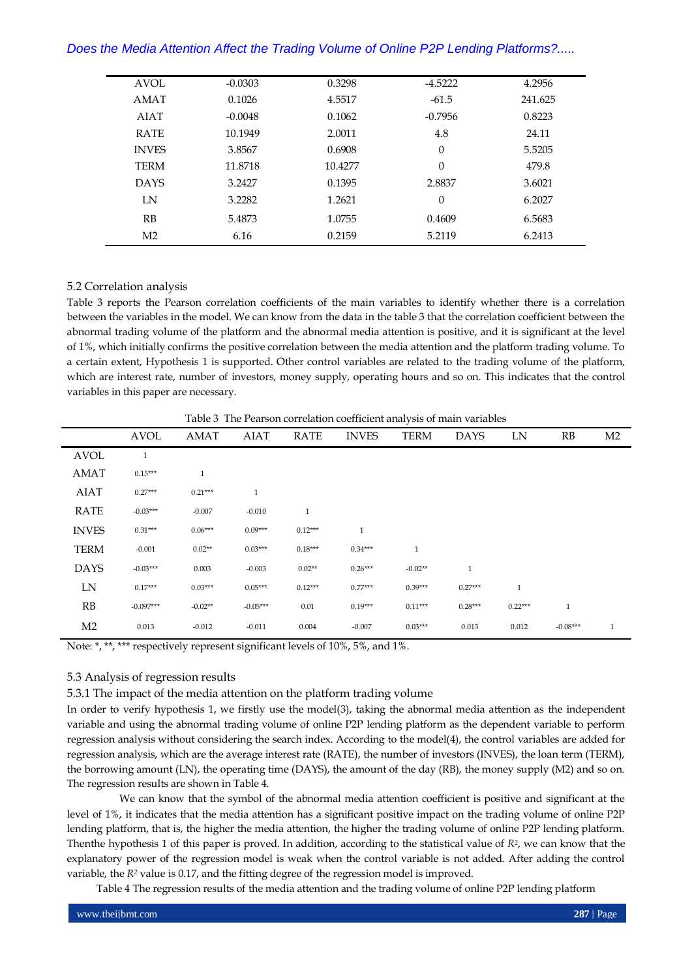| <b>AVOL</b>    | $-0.0303$ | 0.3298  | $-4.5222$ | 4.2956  |
|----------------|-----------|---------|-----------|---------|
| <b>AMAT</b>    | 0.1026    | 4.5517  | $-61.5$   | 241.625 |
| <b>AIAT</b>    | $-0.0048$ | 0.1062  | $-0.7956$ | 0.8223  |
| <b>RATE</b>    | 10.1949   | 2.0011  | 4.8       | 24.11   |
| <b>INVES</b>   | 3.8567    | 0.6908  | $\theta$  | 5.5205  |
| <b>TERM</b>    | 11.8718   | 10.4277 | $\theta$  | 479.8   |
| <b>DAYS</b>    | 3.2427    | 0.1395  | 2.8837    | 3.6021  |
| LN             | 3.2282    | 1.2621  | $\theta$  | 6.2027  |
| RB             | 5.4873    | 1.0755  | 0.4609    | 6.5683  |
| M <sub>2</sub> | 6.16      | 0.2159  | 5.2119    | 6.2413  |
|                |           |         |           |         |

## 5.2 Correlation analysis

Table 3 reports the Pearson correlation coefficients of the main variables to identify whether there is a correlation between the variables in the model. We can know from the data in the table 3 that the correlation coefficient between the abnormal trading volume of the platform and the abnormal media attention is positive, and it is significant at the level of 1%, which initially confirms the positive correlation between the media attention and the platform trading volume. To a certain extent, Hypothesis 1 is supported. Other control variables are related to the trading volume of the platform, which are interest rate, number of investors, money supply, operating hours and so on. This indicates that the control variables in this paper are necessary.

Table 3 The Pearson correlation coefficient analysis of main variables

|                | <b>AVOL</b>  | <b>AMAT</b>  | <b>AIAT</b>  | <b>RATE</b>  | <b>INVES</b> | <b>TERM</b>  | <b>DAYS</b>  | LN           | RB           | M <sub>2</sub> |
|----------------|--------------|--------------|--------------|--------------|--------------|--------------|--------------|--------------|--------------|----------------|
| <b>AVOL</b>    | $\mathbf{1}$ |              |              |              |              |              |              |              |              |                |
| <b>AMAT</b>    | $0.15***$    | $\mathbf{1}$ |              |              |              |              |              |              |              |                |
| <b>AIAT</b>    | $0.27***$    | $0.21***$    | $\mathbf{1}$ |              |              |              |              |              |              |                |
| <b>RATE</b>    | $-0.03***$   | $-0.007$     | $-0.010$     | $\mathbf{1}$ |              |              |              |              |              |                |
| <b>INVES</b>   | $0.31***$    | $0.06***$    | $0.09***$    | $0.12***$    | $\mathbf{1}$ |              |              |              |              |                |
| <b>TERM</b>    | $-0.001$     | $0.02**$     | $0.03***$    | $0.18***$    | $0.34***$    | $\mathbf{1}$ |              |              |              |                |
| <b>DAYS</b>    | $-0.03***$   | 0.003        | $-0.003$     | $0.02**$     | $0.26***$    | $-0.02**$    | $\mathbf{1}$ |              |              |                |
| LN             | $0.17***$    | $0.03***$    | $0.05***$    | $0.12***$    | $0.77***$    | $0.39***$    | $0.27***$    | $\mathbf{1}$ |              |                |
| RB             | $-0.097***$  | $-0.02**$    | $-0.05***$   | 0.01         | $0.19***$    | $0.11***$    | $0.28***$    | $0.22***$    | $\mathbf{1}$ |                |
| M <sub>2</sub> | 0.013        | $-0.012$     | $-0.011$     | 0.004        | $-0.007$     | $0.03***$    | 0.013        | 0.012        | $-0.08***$   | $\mathbf{1}$   |

Note: \*, \*\*, \*\*\* respectively represent significant levels of 10%, 5%, and 1%.

## 5.3 Analysis of regression results

5.3.1 The impact of the media attention on the platform trading volume

In order to verify hypothesis 1, we firstly use the model(3), taking the abnormal media attention as the independent variable and using the abnormal trading volume of online P2P lending platform as the dependent variable to perform regression analysis without considering the search index. According to the model(4), the control variables are added for regression analysis, which are the average interest rate (RATE), the number of investors (INVES), the loan term (TERM), the borrowing amount (LN), the operating time (DAYS), the amount of the day (RB), the money supply (M2) and so on. The regression results are shown in Table 4.

We can know that the symbol of the abnormal media attention coefficient is positive and significant at the level of 1%, it indicates that the media attention has a significant positive impact on the trading volume of online P2P lending platform, that is, the higher the media attention, the higher the trading volume of online P2P lending platform. Thenthe hypothesis 1 of this paper is proved. In addition, according to the statistical value of *R2*, we can know that the explanatory power of the regression model is weak when the control variable is not added. After adding the control variable, the *R<sup>2</sup>* value is 0.17, and the fitting degree of the regression model is improved.

Table 4 The regression results of the media attention and the trading volume of online P2P lending platform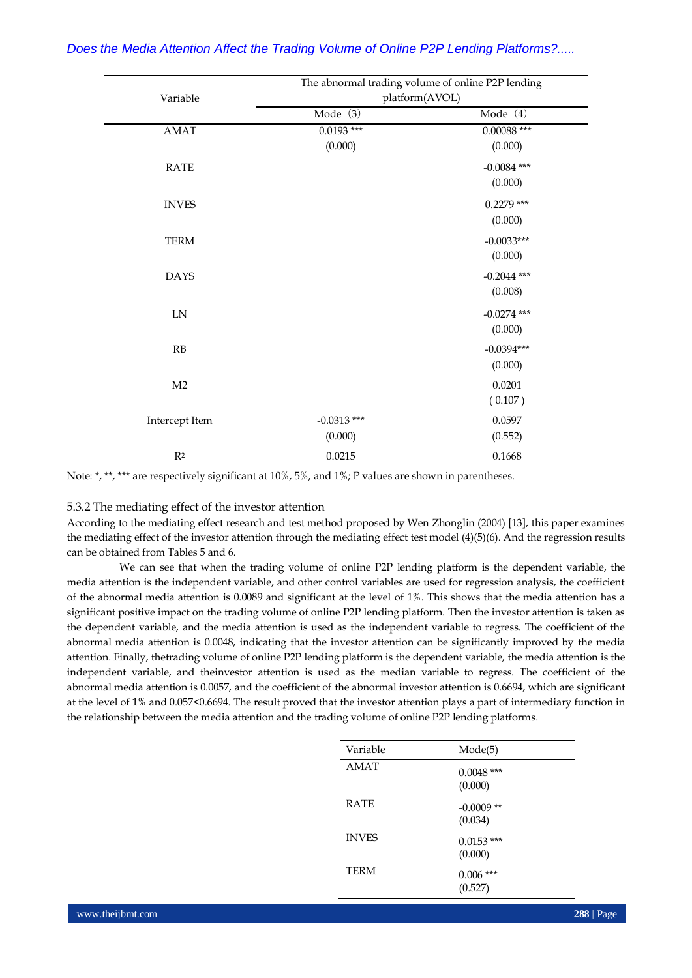|                | The abnormal trading volume of online P2P lending |               |
|----------------|---------------------------------------------------|---------------|
| Variable       | platform(AVOL)                                    |               |
|                | Mode (3)                                          | Mode (4)      |
| AMAT           | $0.0193$ ***                                      | $0.00088$ *** |
|                | (0.000)                                           | (0.000)       |
| <b>RATE</b>    |                                                   | $-0.0084$ *** |
|                |                                                   | (0.000)       |
| <b>INVES</b>   |                                                   | $0.2279$ ***  |
|                |                                                   | (0.000)       |
| <b>TERM</b>    |                                                   | $-0.0033***$  |
|                |                                                   | (0.000)       |
| <b>DAYS</b>    |                                                   | $-0.2044$ *** |
|                |                                                   | (0.008)       |
| ${\rm LN}$     |                                                   | $-0.0274$ *** |
|                |                                                   | (0.000)       |
| RB             |                                                   | $-0.0394***$  |
|                |                                                   | (0.000)       |
| M <sub>2</sub> |                                                   | 0.0201        |
|                |                                                   | (0.107)       |
| Intercept Item | $-0.0313$ ***                                     | 0.0597        |
|                | (0.000)                                           | (0.552)       |
| $\mathbb{R}^2$ | 0.0215                                            | 0.1668        |

Note: \*, \*\*, \*\*\* are respectively significant at 10%, 5%, and 1%; P values are shown in parentheses.

## 5.3.2 The mediating effect of the investor attention

According to the mediating effect research and test method proposed by Wen Zhonglin (2004) [13], this paper examines the mediating effect of the investor attention through the mediating effect test model (4)(5)(6). And the regression results can be obtained from Tables 5 and 6.

We can see that when the trading volume of online P2P lending platform is the dependent variable, the media attention is the independent variable, and other control variables are used for regression analysis, the coefficient of the abnormal media attention is 0.0089 and significant at the level of 1%. This shows that the media attention has a significant positive impact on the trading volume of online P2P lending platform. Then the investor attention is taken as the dependent variable, and the media attention is used as the independent variable to regress. The coefficient of the abnormal media attention is 0.0048, indicating that the investor attention can be significantly improved by the media attention. Finally, thetrading volume of online P2P lending platform is the dependent variable, the media attention is the independent variable, and theinvestor attention is used as the median variable to regress. The coefficient of the abnormal media attention is 0.0057, and the coefficient of the abnormal investor attention is 0.6694, which are significant at the level of 1% and 0.057<0.6694. The result proved that the investor attention plays a part of intermediary function in the relationship between the media attention and the trading volume of online P2P lending platforms.

| Variable     | Mode(5)                 |  |
|--------------|-------------------------|--|
| AMAT         | $0.0048$ ***<br>(0.000) |  |
| <b>RATE</b>  | $-0.0009$ **<br>(0.034) |  |
| <b>INVES</b> | $0.0153$ ***<br>(0.000) |  |
| TERM         | $0.006$ ***<br>(0.527)  |  |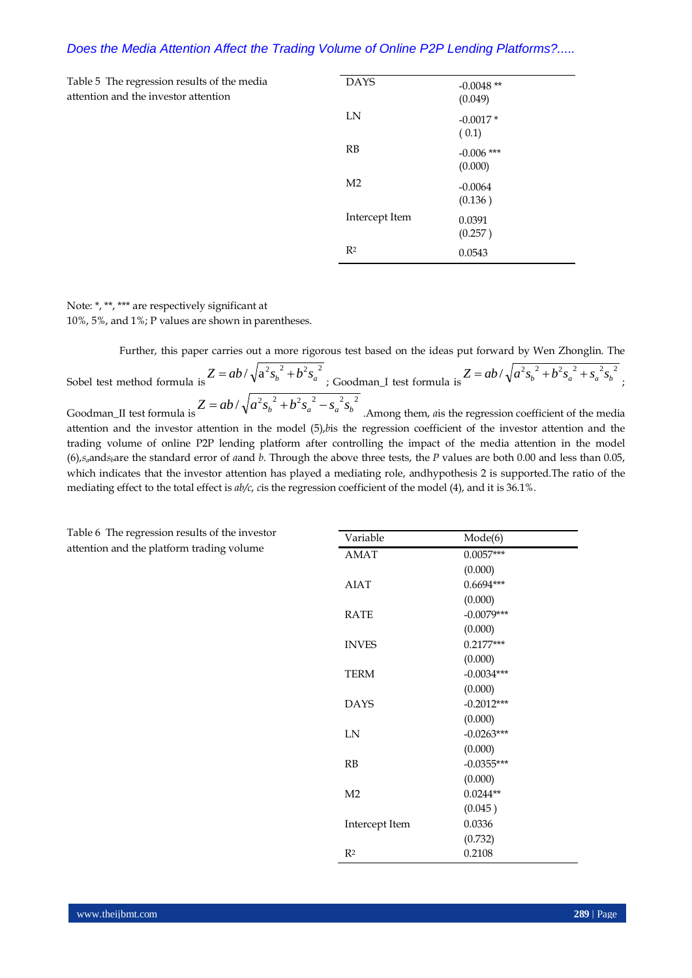Table 5 The regression results of the media attention and the investor attention

| <b>DAYS</b>    | $-0.0048$ **<br>(0.049) |
|----------------|-------------------------|
| LN             | $-0.0017*$<br>(0.1)     |
| <b>RB</b>      | $-0.006$ ***<br>(0.000) |
| M <sub>2</sub> | $-0.0064$<br>(0.136)    |
| Intercept Item | 0.0391<br>(0.257)       |
| R <sup>2</sup> | 0.0543                  |

Note: \*, \*\*, \*\*\* are respectively significant at 10%, 5%, and 1%; P values are shown in parentheses.

Further, this paper carries out a more rigorous test based on the ideas put forward by Wen Zhonglin. The

Sobel test method formula is  $Z = ab/\sqrt{a^2{s_b}^2 + b^2{s_a}^2}$ ; Goodman\_I test formula is  $Z = ab / \sqrt{a^2 s_b^2 + b^2 s_a^2 + s_a^2 s_b^2}$ Goodman\_II test formula is  $Z = ab / \sqrt{a^2 s_b^2 + b^2 s_a^2 - s_a^2 s_b^2}$  . Among them, *a* is the regression coefficient of the media attention and the investor attention in the model (5),*b*is the regression coefficient of the investor attention and the

trading volume of online P2P lending platform after controlling the impact of the media attention in the model (6),*sa*and*sb*are the standard error of *a*and *b*. Through the above three tests, the *P* values are both 0.00 and less than 0.05, which indicates that the investor attention has played a mediating role, andhypothesis 2 is supported.The ratio of the mediating effect to the total effect is *ab/c*, *c*is the regression coefficient of the model (4), and it is 36.1%.

Table 6 The regression results of the investor attention and the platform trading volume

| Variable       | Mode(6)      |
|----------------|--------------|
| <b>AMAT</b>    | $0.0057***$  |
|                | (0.000)      |
| <b>AIAT</b>    | $0.6694***$  |
|                | (0.000)      |
| <b>RATE</b>    | $-0.0079***$ |
|                | (0.000)      |
| <b>INVES</b>   | $0.2177***$  |
|                | (0.000)      |
| <b>TERM</b>    | $-0.0034***$ |
|                | (0.000)      |
| <b>DAYS</b>    | $-0.2012***$ |
|                | (0.000)      |
| IΝ             | $-0.0263***$ |
|                | (0.000)      |
| RB             | $-0.0355***$ |
|                | (0.000)      |
| M <sub>2</sub> | $0.0244**$   |
|                | (0.045)      |
| Intercept Item | 0.0336       |
|                | (0.732)      |
| R <sup>2</sup> | 0.2108       |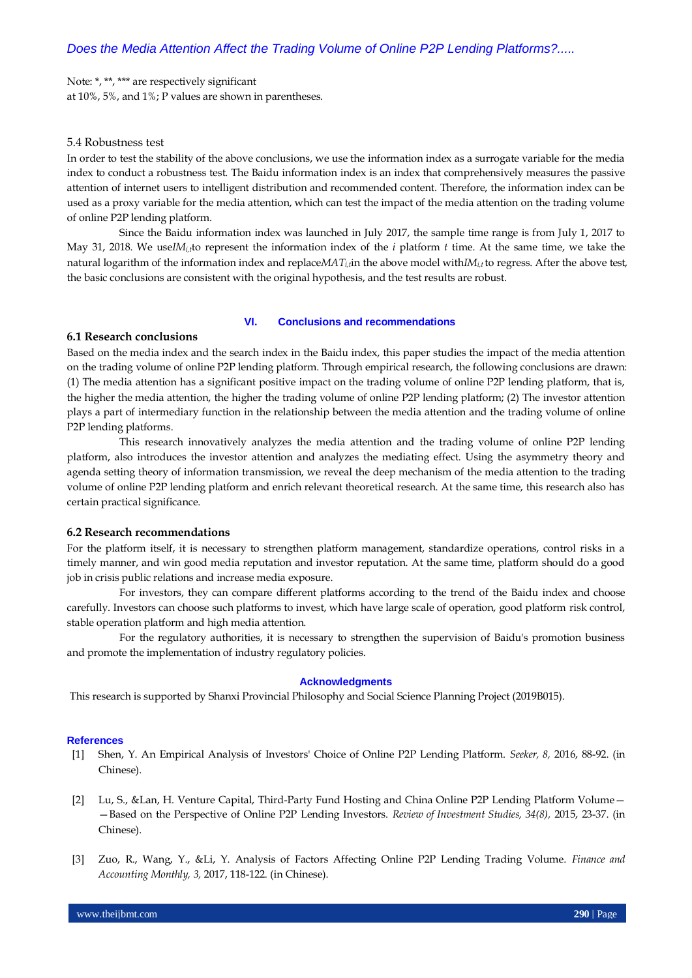Note: \*, \*\*, \*\*\* are respectively significant at 10%, 5%, and 1%; P values are shown in parentheses.

## 5.4 Robustness test

In order to test the stability of the above conclusions, we use the information index as a surrogate variable for the media index to conduct a robustness test. The Baidu information index is an index that comprehensively measures the passive attention of internet users to intelligent distribution and recommended content. Therefore, the information index can be used as a proxy variable for the media attention, which can test the impact of the media attention on the trading volume of online P2P lending platform.

Since the Baidu information index was launched in July 2017, the sample time range is from July 1, 2017 to May 31, 2018. We use*IMi,t*to represent the information index of the *i* platform *t* time. At the same time, we take the natural logarithm of the information index and replace $MAT_t$ <sub>i</sub>, in the above model with  $M_t$  to regress. After the above test, the basic conclusions are consistent with the original hypothesis, and the test results are robust.

## **VI. Conclusions and recommendations**

## **6.1 Research conclusions**

Based on the media index and the search index in the Baidu index, this paper studies the impact of the media attention on the trading volume of online P2P lending platform. Through empirical research, the following conclusions are drawn: (1) The media attention has a significant positive impact on the trading volume of online P2P lending platform, that is, the higher the media attention, the higher the trading volume of online P2P lending platform; (2) The investor attention plays a part of intermediary function in the relationship between the media attention and the trading volume of online P2P lending platforms.

This research innovatively analyzes the media attention and the trading volume of online P2P lending platform, also introduces the investor attention and analyzes the mediating effect. Using the asymmetry theory and agenda setting theory of information transmission, we reveal the deep mechanism of the media attention to the trading volume of online P2P lending platform and enrich relevant theoretical research. At the same time, this research also has certain practical significance.

## **6.2 Research recommendations**

For the platform itself, it is necessary to strengthen platform management, standardize operations, control risks in a timely manner, and win good media reputation and investor reputation. At the same time, platform should do a good job in crisis public relations and increase media exposure.

For investors, they can compare different platforms according to the trend of the Baidu index and choose carefully. Investors can choose such platforms to invest, which have large scale of operation, good platform risk control, stable operation platform and high media attention.

For the regulatory authorities, it is necessary to strengthen the supervision of Baidu's promotion business and promote the implementation of industry regulatory policies.

#### **Acknowledgments**

This research is supported by Shanxi Provincial Philosophy and Social Science Planning Project (2019B015).

#### **References**

- [1] Shen, Y. An Empirical Analysis of Investors' Choice of Online P2P Lending Platform. *Seeker, 8,* 2016, 88-92. (in Chinese).
- [2] Lu, S., &Lan, H. Venture Capital, Third-Party Fund Hosting and China Online P2P Lending Platform Volume— —Based on the Perspective of Online P2P Lending Investors. *Review of Investment Studies, 34(8),* 2015, 23-37. (in Chinese).
- [3] Zuo, R., Wang, Y., &Li, Y. Analysis of Factors Affecting Online P2P Lending Trading Volume. *Finance and Accounting Monthly, 3,* 2017, 118-122. (in Chinese).